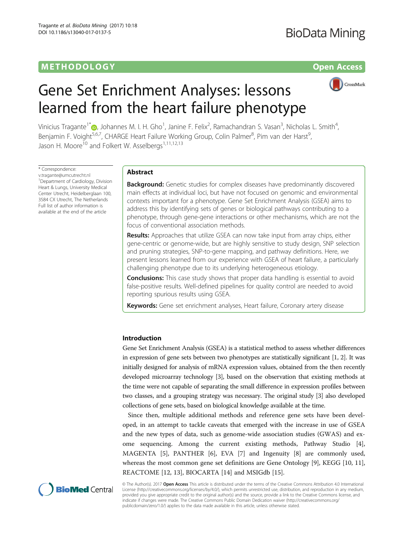# **METHODOLOGY CONSUMING ACCESS**



# Gene Set Enrichment Analyses: lessons learned from the heart failure phenotype

Vinicius Tragante<sup>1[\\*](http://orcid.org/0000-0002-8223-8957)</sup>®, Johannes M. I. H. Gho<sup>1</sup>, Janine F. Felix<sup>2</sup>, Ramachandran S. Vasan<sup>3</sup>, Nicholas L. Smith<sup>4</sup> , Benjamin F. Voight<sup>5,6,7</sup>, CHARGE Heart Failure Working Group, Colin Palmer<sup>8</sup>, Pim van der Harst<sup>s</sup> , Jason H. Moore<sup>10</sup> and Folkert W. Asselbergs<sup>1,11,12,13</sup>

\* Correspondence: [v.tragante@umcutrecht.nl](mailto:v.tragante@umcutrecht.nl) <sup>1</sup> Department of Cardiology, Division Heart & Lungs, University Medical Center Utrecht, Heidelberglaan 100, 3584 CX Utrecht, The Netherlands Full list of author information is available at the end of the article

### Abstract

**Background:** Genetic studies for complex diseases have predominantly discovered main effects at individual loci, but have not focused on genomic and environmental contexts important for a phenotype. Gene Set Enrichment Analysis (GSEA) aims to address this by identifying sets of genes or biological pathways contributing to a phenotype, through gene-gene interactions or other mechanisms, which are not the focus of conventional association methods.

Results: Approaches that utilize GSEA can now take input from array chips, either gene-centric or genome-wide, but are highly sensitive to study design, SNP selection and pruning strategies, SNP-to-gene mapping, and pathway definitions. Here, we present lessons learned from our experience with GSEA of heart failure, a particularly challenging phenotype due to its underlying heterogeneous etiology.

**Conclusions:** This case study shows that proper data handling is essential to avoid false-positive results. Well-defined pipelines for quality control are needed to avoid reporting spurious results using GSEA.

Keywords: Gene set enrichment analyses, Heart failure, Coronary artery disease

## Introduction

Gene Set Enrichment Analysis (GSEA) is a statistical method to assess whether differences in expression of gene sets between two phenotypes are statistically significant [\[1](#page-9-0), [2\]](#page-9-0). It was initially designed for analysis of mRNA expression values, obtained from the then recently developed microarray technology [\[3\]](#page-9-0), based on the observation that existing methods at the time were not capable of separating the small difference in expression profiles between two classes, and a grouping strategy was necessary. The original study [\[3\]](#page-9-0) also developed collections of gene sets, based on biological knowledge available at the time.

Since then, multiple additional methods and reference gene sets have been developed, in an attempt to tackle caveats that emerged with the increase in use of GSEA and the new types of data, such as genome-wide association studies (GWAS) and exome sequencing. Among the current existing methods, Pathway Studio [\[4](#page-9-0)], MAGENTA [\[5](#page-9-0)], PANTHER [[6\]](#page-9-0), EVA [[7](#page-9-0)] and Ingenuity [\[8\]](#page-9-0) are commonly used, whereas the most common gene set definitions are Gene Ontology [\[9](#page-9-0)], KEGG [\[10](#page-9-0), [11](#page-9-0)], REACTOME [\[12, 13\]](#page-9-0), BIOCARTA [\[14](#page-9-0)] and MSIGdb [[15](#page-9-0)].



© The Author(s). 2017 Open Access This article is distributed under the terms of the Creative Commons Attribution 4.0 International License ([http://creativecommons.org/licenses/by/4.0/\)](http://creativecommons.org/licenses/by/4.0/), which permits unrestricted use, distribution, and reproduction in any medium, provided you give appropriate credit to the original author(s) and the source, provide a link to the Creative Commons license, and indicate if changes were made. The Creative Commons Public Domain Dedication waiver ([http://creativecommons.org/](http://creativecommons.org/publicdomain/zero/1.0/) [publicdomain/zero/1.0/\)](http://creativecommons.org/publicdomain/zero/1.0/) applies to the data made available in this article, unless otherwise stated.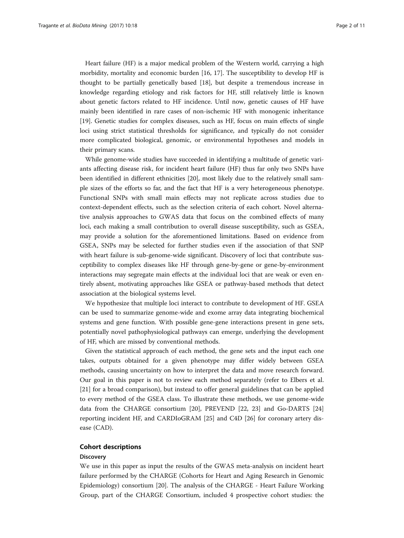Heart failure (HF) is a major medical problem of the Western world, carrying a high morbidity, mortality and economic burden [\[16, 17](#page-9-0)]. The susceptibility to develop HF is thought to be partially genetically based [[18\]](#page-9-0), but despite a tremendous increase in knowledge regarding etiology and risk factors for HF, still relatively little is known about genetic factors related to HF incidence. Until now, genetic causes of HF have mainly been identified in rare cases of non-ischemic HF with monogenic inheritance [[19\]](#page-9-0). Genetic studies for complex diseases, such as HF, focus on main effects of single loci using strict statistical thresholds for significance, and typically do not consider more complicated biological, genomic, or environmental hypotheses and models in their primary scans.

While genome-wide studies have succeeded in identifying a multitude of genetic variants affecting disease risk, for incident heart failure (HF) thus far only two SNPs have been identified in different ethnicities [[20](#page-9-0)], most likely due to the relatively small sample sizes of the efforts so far, and the fact that HF is a very heterogeneous phenotype. Functional SNPs with small main effects may not replicate across studies due to context-dependent effects, such as the selection criteria of each cohort. Novel alternative analysis approaches to GWAS data that focus on the combined effects of many loci, each making a small contribution to overall disease susceptibility, such as GSEA, may provide a solution for the aforementioned limitations. Based on evidence from GSEA, SNPs may be selected for further studies even if the association of that SNP with heart failure is sub-genome-wide significant. Discovery of loci that contribute susceptibility to complex diseases like HF through gene-by-gene or gene-by-environment interactions may segregate main effects at the individual loci that are weak or even entirely absent, motivating approaches like GSEA or pathway-based methods that detect association at the biological systems level.

We hypothesize that multiple loci interact to contribute to development of HF. GSEA can be used to summarize genome-wide and exome array data integrating biochemical systems and gene function. With possible gene-gene interactions present in gene sets, potentially novel pathophysiological pathways can emerge, underlying the development of HF, which are missed by conventional methods.

Given the statistical approach of each method, the gene sets and the input each one takes, outputs obtained for a given phenotype may differ widely between GSEA methods, causing uncertainty on how to interpret the data and move research forward. Our goal in this paper is not to review each method separately (refer to Elbers et al. [[21\]](#page-9-0) for a broad comparison), but instead to offer general guidelines that can be applied to every method of the GSEA class. To illustrate these methods, we use genome-wide data from the CHARGE consortium [\[20](#page-9-0)], PREVEND [\[22](#page-9-0), [23](#page-9-0)] and Go-DARTS [[24](#page-9-0)] reporting incident HF, and CARDIoGRAM [\[25](#page-9-0)] and C4D [[26\]](#page-9-0) for coronary artery disease (CAD).

#### Cohort descriptions

### **Discovery**

We use in this paper as input the results of the GWAS meta-analysis on incident heart failure performed by the CHARGE (Cohorts for Heart and Aging Research in Genomic Epidemiology) consortium [[20\]](#page-9-0). The analysis of the CHARGE - Heart Failure Working Group, part of the CHARGE Consortium, included 4 prospective cohort studies: the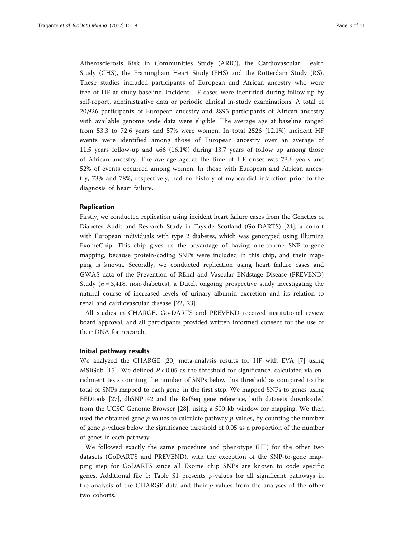Atherosclerosis Risk in Communities Study (ARIC), the Cardiovascular Health Study (CHS), the Framingham Heart Study (FHS) and the Rotterdam Study (RS). These studies included participants of European and African ancestry who were free of HF at study baseline. Incident HF cases were identified during follow-up by self-report, administrative data or periodic clinical in-study examinations. A total of 20,926 participants of European ancestry and 2895 participants of African ancestry with available genome wide data were eligible. The average age at baseline ranged from 53.3 to 72.6 years and 57% were women. In total 2526 (12.1%) incident HF events were identified among those of European ancestry over an average of 11.5 years follow-up and 466 (16.1%) during 13.7 years of follow up among those of African ancestry. The average age at the time of HF onset was 73.6 years and 52% of events occurred among women. In those with European and African ancestry, 73% and 78%, respectively, had no history of myocardial infarction prior to the diagnosis of heart failure.

#### Replication

Firstly, we conducted replication using incident heart failure cases from the Genetics of Diabetes Audit and Research Study in Tayside Scotland (Go-DARTS) [\[24\]](#page-9-0), a cohort with European individuals with type 2 diabetes, which was genotyped using Illumina ExomeChip. This chip gives us the advantage of having one-to-one SNP-to-gene mapping, because protein-coding SNPs were included in this chip, and their mapping is known. Secondly, we conducted replication using heart failure cases and GWAS data of the Prevention of REnal and Vascular ENdstage Disease (PREVEND) Study  $(n = 3,418,$  non-diabetics), a Dutch ongoing prospective study investigating the natural course of increased levels of urinary albumin excretion and its relation to renal and cardiovascular disease [\[22](#page-9-0), [23](#page-9-0)].

All studies in CHARGE, Go-DARTS and PREVEND received institutional review board approval, and all participants provided written informed consent for the use of their DNA for research.

#### Initial pathway results

We analyzed the CHARGE [\[20\]](#page-9-0) meta-analysis results for HF with EVA [\[7](#page-9-0)] using MSIGdb [\[15](#page-9-0)]. We defined  $P < 0.05$  as the threshold for significance, calculated via enrichment tests counting the number of SNPs below this threshold as compared to the total of SNPs mapped to each gene, in the first step. We mapped SNPs to genes using BEDtools [[27](#page-9-0)], dbSNP142 and the RefSeq gene reference, both datasets downloaded from the UCSC Genome Browser [\[28\]](#page-9-0), using a 500 kb window for mapping. We then used the obtained gene  $p$ -values to calculate pathway  $p$ -values, by counting the number of gene p-values below the significance threshold of 0.05 as a proportion of the number of genes in each pathway.

We followed exactly the same procedure and phenotype (HF) for the other two datasets (GoDARTS and PREVEND), with the exception of the SNP-to-gene mapping step for GoDARTS since all Exome chip SNPs are known to code specific genes. Additional file [1](#page-8-0): Table S1 presents p-values for all significant pathways in the analysis of the CHARGE data and their  $p$ -values from the analyses of the other two cohorts.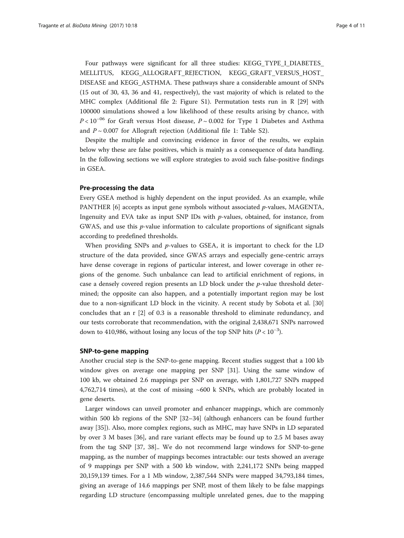Four pathways were significant for all three studies: KEGG\_TYPE\_I\_DIABETES\_ MELLITUS, KEGG\_ALLOGRAFT\_REJECTION, KEGG\_GRAFT\_VERSUS\_HOST\_ DISEASE and KEGG\_ASTHMA. These pathways share a considerable amount of SNPs (15 out of 30, 43, 36 and 41, respectively), the vast majority of which is related to the MHC complex (Additional file [2:](#page-8-0) Figure S1). Permutation tests run in R [[29\]](#page-10-0) with 100000 simulations showed a low likelihood of these results arising by chance, with  $P < 10^{-06}$  for Graft versus Host disease,  $P \sim 0.002$  for Type 1 Diabetes and Asthma and  $P \sim 0.007$  for Allograft rejection (Additional file [1:](#page-8-0) Table S2).

Despite the multiple and convincing evidence in favor of the results, we explain below why these are false positives, which is mainly as a consequence of data handling. In the following sections we will explore strategies to avoid such false-positive findings in GSEA.

#### Pre-processing the data

Every GSEA method is highly dependent on the input provided. As an example, while PANTHER [\[6](#page-9-0)] accepts as input gene symbols without associated  $p$ -values, MAGENTA, Ingenuity and EVA take as input SNP IDs with  $p$ -values, obtained, for instance, from GWAS, and use this p-value information to calculate proportions of significant signals according to predefined thresholds.

When providing SNPs and p-values to GSEA, it is important to check for the LD structure of the data provided, since GWAS arrays and especially gene-centric arrays have dense coverage in regions of particular interest, and lower coverage in other regions of the genome. Such unbalance can lead to artificial enrichment of regions, in case a densely covered region presents an LD block under the p-value threshold determined; the opposite can also happen, and a potentially important region may be lost due to a non-significant LD block in the vicinity. A recent study by Sobota et al. [[30](#page-10-0)] concludes that an r [[2\]](#page-9-0) of 0.3 is a reasonable threshold to eliminate redundancy, and our tests corroborate that recommendation, with the original 2,438,671 SNPs narrowed down to 410,986, without losing any locus of the top SNP hits ( $P < 10^{-3}$ ).

#### SNP-to-gene mapping

Another crucial step is the SNP-to-gene mapping. Recent studies suggest that a 100 kb window gives on average one mapping per SNP [[31](#page-10-0)]. Using the same window of 100 kb, we obtained 2.6 mappings per SNP on average, with 1,801,727 SNPs mapped 4,762,714 times), at the cost of missing ~600 k SNPs, which are probably located in gene deserts.

Larger windows can unveil promoter and enhancer mappings, which are commonly within 500 kb regions of the SNP [\[32](#page-10-0)–[34\]](#page-10-0) (although enhancers can be found further away [[35\]](#page-10-0)). Also, more complex regions, such as MHC, may have SNPs in LD separated by over 3 M bases [[36\]](#page-10-0), and rare variant effects may be found up to 2.5 M bases away from the tag SNP [[37](#page-10-0), [38\]](#page-10-0).. We do not recommend large windows for SNP-to-gene mapping, as the number of mappings becomes intractable: our tests showed an average of 9 mappings per SNP with a 500 kb window, with 2,241,172 SNPs being mapped 20,159,139 times. For a 1 Mb window, 2,387,544 SNPs were mapped 34,793,184 times, giving an average of 14.6 mappings per SNP, most of them likely to be false mappings regarding LD structure (encompassing multiple unrelated genes, due to the mapping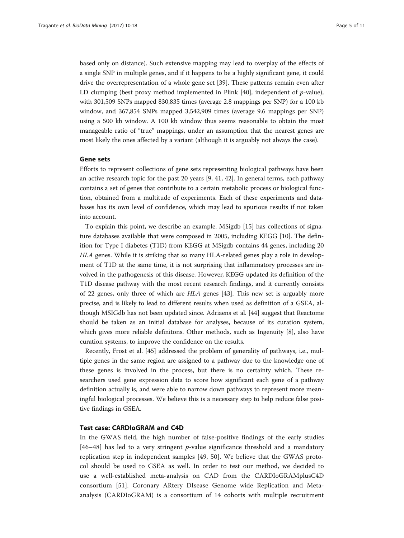based only on distance). Such extensive mapping may lead to overplay of the effects of a single SNP in multiple genes, and if it happens to be a highly significant gene, it could drive the overrepresentation of a whole gene set [[39\]](#page-10-0). These patterns remain even after LD clumping (best proxy method implemented in Plink [[40\]](#page-10-0), independent of  $p$ -value), with 301,509 SNPs mapped 830,835 times (average 2.8 mappings per SNP) for a 100 kb window, and 367,854 SNPs mapped 3,542,909 times (average 9.6 mappings per SNP) using a 500 kb window. A 100 kb window thus seems reasonable to obtain the most manageable ratio of "true" mappings, under an assumption that the nearest genes are most likely the ones affected by a variant (although it is arguably not always the case).

### Gene sets

Efforts to represent collections of gene sets representing biological pathways have been an active research topic for the past 20 years [[9,](#page-9-0) [41, 42\]](#page-10-0). In general terms, each pathway contains a set of genes that contribute to a certain metabolic process or biological function, obtained from a multitude of experiments. Each of these experiments and databases has its own level of confidence, which may lead to spurious results if not taken into account.

To explain this point, we describe an example. MSigdb [\[15](#page-9-0)] has collections of signature databases available that were composed in 2005, including KEGG [[10](#page-9-0)]. The definition for Type I diabetes (T1D) from KEGG at MSigdb contains 44 genes, including 20 HLA genes. While it is striking that so many HLA-related genes play a role in development of T1D at the same time, it is not surprising that inflammatory processes are involved in the pathogenesis of this disease. However, KEGG updated its definition of the T1D disease pathway with the most recent research findings, and it currently consists of 22 genes, only three of which are HLA genes [[43\]](#page-10-0). This new set is arguably more precise, and is likely to lead to different results when used as definition of a GSEA, although MSIGdb has not been updated since. Adriaens et al. [[44\]](#page-10-0) suggest that Reactome should be taken as an initial database for analyses, because of its curation system, which gives more reliable definitons. Other methods, such as Ingenuity [\[8](#page-9-0)], also have curation systems, to improve the confidence on the results.

Recently, Frost et al. [\[45](#page-10-0)] addressed the problem of generality of pathways, i.e., multiple genes in the same region are assigned to a pathway due to the knowledge one of these genes is involved in the process, but there is no certainty which. These researchers used gene expression data to score how significant each gene of a pathway definition actually is, and were able to narrow down pathways to represent more meaningful biological processes. We believe this is a necessary step to help reduce false positive findings in GSEA.

#### Test case: CARDIoGRAM and C4D

In the GWAS field, the high number of false-positive findings of the early studies [[46](#page-10-0)–[48\]](#page-10-0) has led to a very stringent  $p$ -value significance threshold and a mandatory replication step in independent samples [\[49](#page-10-0), [50\]](#page-10-0). We believe that the GWAS protocol should be used to GSEA as well. In order to test our method, we decided to use a well-established meta-analysis on CAD from the CARDIoGRAMplusC4D consortium [\[51](#page-10-0)]. Coronary ARtery DIsease Genome wide Replication and Metaanalysis (CARDIoGRAM) is a consortium of 14 cohorts with multiple recruitment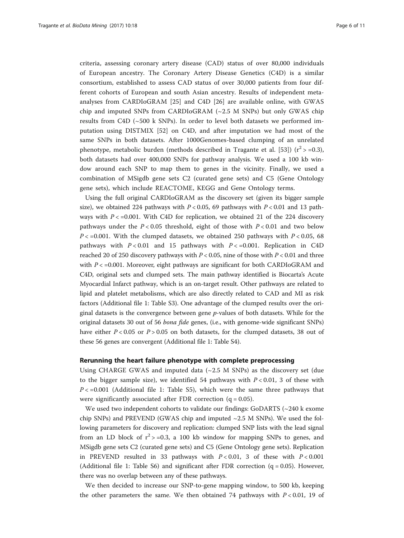criteria, assessing coronary artery disease (CAD) status of over 80,000 individuals of European ancestry. The Coronary Artery Disease Genetics (C4D) is a similar consortium, established to assess CAD status of over 30,000 patients from four different cohorts of European and south Asian ancestry. Results of independent metaanalyses from CARDIoGRAM [\[25](#page-9-0)] and C4D [[26](#page-9-0)] are available online, with GWAS chip and imputed SNPs from CARDIoGRAM  $(\sim 2.5$  M SNPs) but only GWAS chip results from C4D (~500 k SNPs). In order to level both datasets we performed imputation using DISTMIX [[52\]](#page-10-0) on C4D, and after imputation we had most of the same SNPs in both datasets. After 1000Genomes-based clumping of an unrelated phenotype, metabolic burden (methods described in Tragante et al. [[53\]](#page-10-0)) ( $r^2$  > =0.3), both datasets had over 400,000 SNPs for pathway analysis. We used a 100 kb window around each SNP to map them to genes in the vicinity. Finally, we used a combination of MSigdb gene sets C2 (curated gene sets) and C5 (Gene Ontology gene sets), which include REACTOME, KEGG and Gene Ontology terms.

Using the full original CARDIoGRAM as the discovery set (given its bigger sample size), we obtained 224 pathways with  $P < 0.05$ , 69 pathways with  $P < 0.01$  and 13 pathways with  $P < 0.001$ . With C4D for replication, we obtained 21 of the 224 discovery pathways under the  $P < 0.05$  threshold, eight of those with  $P < 0.01$  and two below  $P < 0.001$ . With the clumped datasets, we obtained 250 pathways with  $P < 0.05$ , 68 pathways with  $P < 0.01$  and 15 pathways with  $P < 0.001$ . Replication in C4D reached 20 of 250 discovery pathways with  $P < 0.05$ , nine of those with  $P < 0.01$  and three with  $P < 0.001$ . Moreover, eight pathways are significant for both CARDIoGRAM and C4D, original sets and clumped sets. The main pathway identified is Biocarta's Acute Myocardial Infarct pathway, which is an on-target result. Other pathways are related to lipid and platelet metabolisms, which are also directly related to CAD and MI as risk factors (Additional file [1:](#page-8-0) Table S3). One advantage of the clumped results over the original datasets is the convergence between gene  $p$ -values of both datasets. While for the original datasets 30 out of 56 bona fide genes, (i.e., with genome-wide significant SNPs) have either  $P < 0.05$  or  $P > 0.05$  on both datasets, for the clumped datasets, 38 out of these 56 genes are convergent (Additional file [1:](#page-8-0) Table S4).

# Rerunning the heart failure phenotype with complete preprocessing

Using CHARGE GWAS and imputed data  $(\sim 2.5 \text{ M SNPs})$  as the discovery set (due to the bigger sample size), we identified 54 pathways with  $P < 0.01$ , 3 of these with  $P < 0.001$  (Additional file [1:](#page-8-0) Table S5), which were the same three pathways that were significantly associated after FDR correction  $(q = 0.05)$ .

We used two independent cohorts to validate our findings: GoDARTS ( $\sim$ 240 k exome chip SNPs) and PREVEND (GWAS chip and imputed  $\sim$  2.5 M SNPs). We used the following parameters for discovery and replication: clumped SNP lists with the lead signal from an LD block of  $r^2 > 0.3$ , a 100 kb window for mapping SNPs to genes, and MSigdb gene sets C2 (curated gene sets) and C5 (Gene Ontology gene sets). Replication in PREVEND resulted in 33 pathways with  $P < 0.01$ , 3 of these with  $P < 0.001$ (Additional file [1](#page-8-0): Table S6) and significant after FDR correction  $(q = 0.05)$ . However, there was no overlap between any of these pathways.

We then decided to increase our SNP-to-gene mapping window, to 500 kb, keeping the other parameters the same. We then obtained 74 pathways with  $P < 0.01$ , 19 of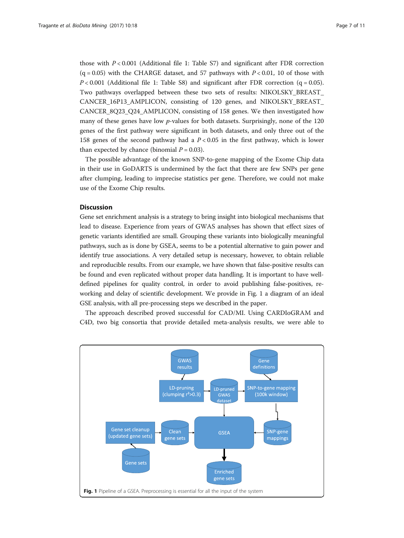those with  $P < 0.001$  (Additional file [1](#page-8-0): Table S7) and significant after FDR correction  $(q = 0.05)$  with the CHARGE dataset, and 57 pathways with  $P < 0.01$ , 10 of those with  $P < 0.001$  (Additional file [1](#page-8-0): Table S8) and significant after FDR correction (q = 0.05). Two pathways overlapped between these two sets of results: NIKOLSKY\_BREAST\_ CANCER\_16P13\_AMPLICON, consisting of 120 genes, and NIKOLSKY\_BREAST CANCER 8Q23 Q24 AMPLICON, consisting of 158 genes. We then investigated how many of these genes have low  $p$ -values for both datasets. Surprisingly, none of the 120 genes of the first pathway were significant in both datasets, and only three out of the 158 genes of the second pathway had a  $P < 0.05$  in the first pathway, which is lower than expected by chance (binomial  $P = 0.03$ ).

The possible advantage of the known SNP-to-gene mapping of the Exome Chip data in their use in GoDARTS is undermined by the fact that there are few SNPs per gene after clumping, leading to imprecise statistics per gene. Therefore, we could not make use of the Exome Chip results.

# Discussion

Gene set enrichment analysis is a strategy to bring insight into biological mechanisms that lead to disease. Experience from years of GWAS analyses has shown that effect sizes of genetic variants identified are small. Grouping these variants into biologically meaningful pathways, such as is done by GSEA, seems to be a potential alternative to gain power and identify true associations. A very detailed setup is necessary, however, to obtain reliable and reproducible results. From our example, we have shown that false-positive results can be found and even replicated without proper data handling. It is important to have welldefined pipelines for quality control, in order to avoid publishing false-positives, reworking and delay of scientific development. We provide in Fig. 1 a diagram of an ideal GSE analysis, with all pre-processing steps we described in the paper.

The approach described proved successful for CAD/MI. Using CARDIoGRAM and C4D, two big consortia that provide detailed meta-analysis results, we were able to

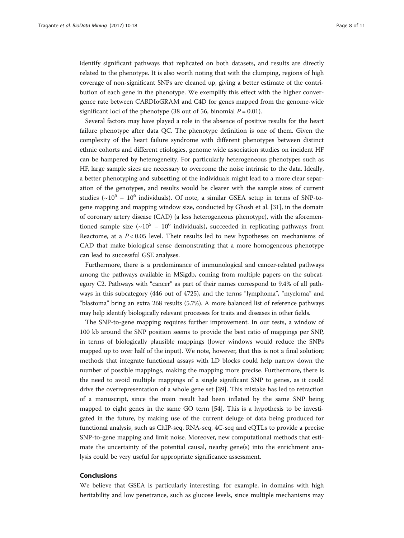identify significant pathways that replicated on both datasets, and results are directly related to the phenotype. It is also worth noting that with the clumping, regions of high coverage of non-significant SNPs are cleaned up, giving a better estimate of the contribution of each gene in the phenotype. We exemplify this effect with the higher convergence rate between CARDIoGRAM and C4D for genes mapped from the genome-wide significant loci of the phenotype (38 out of 56, binomial  $P = 0.01$ ).

Several factors may have played a role in the absence of positive results for the heart failure phenotype after data QC. The phenotype definition is one of them. Given the complexity of the heart failure syndrome with different phenotypes between distinct ethnic cohorts and different etiologies, genome wide association studies on incident HF can be hampered by heterogeneity. For particularly heterogeneous phenotypes such as HF, large sample sizes are necessary to overcome the noise intrinsic to the data. Ideally, a better phenotyping and subsetting of the individuals might lead to a more clear separation of the genotypes, and results would be clearer with the sample sizes of current studies ( $\sim 10^5$  – 10<sup>6</sup> individuals). Of note, a similar GSEA setup in terms of SNP-togene mapping and mapping window size, conducted by Ghosh et al. [\[31](#page-10-0)], in the domain of coronary artery disease (CAD) (a less heterogeneous phenotype), with the aforementioned sample size  $({\sim}10^5 - 10^6$  individuals), succeeded in replicating pathways from Reactome, at a  $P < 0.05$  level. Their results led to new hypotheses on mechanisms of CAD that make biological sense demonstrating that a more homogeneous phenotype can lead to successful GSE analyses.

Furthermore, there is a predominance of immunological and cancer-related pathways among the pathways available in MSigdb, coming from multiple papers on the subcategory C2. Pathways with "cancer" as part of their names correspond to 9.4% of all pathways in this subcategory (446 out of 4725), and the terms "lymphoma", "myeloma" and "blastoma" bring an extra 268 results (5.7%). A more balanced list of reference pathways may help identify biologically relevant processes for traits and diseases in other fields.

The SNP-to-gene mapping requires further improvement. In our tests, a window of 100 kb around the SNP position seems to provide the best ratio of mappings per SNP, in terms of biologically plausible mappings (lower windows would reduce the SNPs mapped up to over half of the input). We note, however, that this is not a final solution; methods that integrate functional assays with LD blocks could help narrow down the number of possible mappings, making the mapping more precise. Furthermore, there is the need to avoid multiple mappings of a single significant SNP to genes, as it could drive the overrepresentation of a whole gene set [\[39\]](#page-10-0). This mistake has led to retraction of a manuscript, since the main result had been inflated by the same SNP being mapped to eight genes in the same GO term [[54](#page-10-0)]. This is a hypothesis to be investigated in the future, by making use of the current deluge of data being produced for functional analysis, such as ChIP-seq, RNA-seq, 4C-seq and eQTLs to provide a precise SNP-to-gene mapping and limit noise. Moreover, new computational methods that estimate the uncertainty of the potential causal, nearby gene(s) into the enrichment analysis could be very useful for appropriate significance assessment.

#### Conclusions

We believe that GSEA is particularly interesting, for example, in domains with high heritability and low penetrance, such as glucose levels, since multiple mechanisms may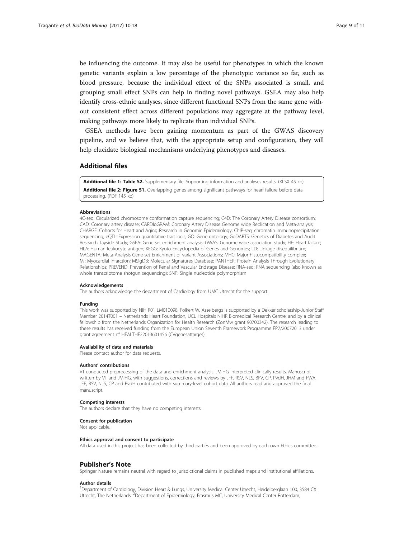<span id="page-8-0"></span>be influencing the outcome. It may also be useful for phenotypes in which the known genetic variants explain a low percentage of the phenotypic variance so far, such as blood pressure, because the individual effect of the SNPs associated is small, and grouping small effect SNPs can help in finding novel pathways. GSEA may also help identify cross-ethnic analyses, since different functional SNPs from the same gene without consistent effect across different populations may aggregate at the pathway level, making pathways more likely to replicate than individual SNPs.

GSEA methods have been gaining momentum as part of the GWAS discovery pipeline, and we believe that, with the appropriate setup and configuration, they will help elucidate biological mechanisms underlying phenotypes and diseases.

#### Additional files

[Additional file 1: Table S2.](dx.doi.org/10.1186/s13040-017-0137-5) Supplementary file. Supporting information and analyses results. (XLSX 45 kb) [Additional file 2: Figure S1.](dx.doi.org/10.1186/s13040-017-0137-5) Overlapping genes among significant pathways for hearf failure before data processing. (PDF 145 kb)

#### Abbreviations

4C-seq: Circularized chromosome conformation capture sequencing; C4D: The Coronary Artery Disease consortium; CAD: Coronary artery disease; CARDIoGRAM: Coronary Artery DIsease Genome wide Replication and Meta-analysis; CHARGE: Cohorts for Heart and Aging Research in Genomic Epidemiology; ChIP-seq: chromatin immunoprecipitation sequencing; eQTL: Expression quantitative trait locis; GO: Gene ontology; GoDARTS: Genetics of Diabetes and Audit Research Tayside Study; GSEA: Gene set enrichment analysis; GWAS: Genome wide association study; HF: Heart failure; HLA: Human leukocyte antigen; KEGG: Kyoto Encyclopedia of Genes and Genomes; LD: Linkage disequilibrium; MAGENTA: Meta-Analysis Gene-set Enrichment of variant Associations; MHC: Major histocompatibility complex; MI: Myocardial infarction; MSigDB: Molecular Signatures Database; PANTHER: Protein Analysis Through Evolutionary Relationships; PREVEND: Prevention of Renal and Vascular Endstage Disease; RNA-seq: RNA sequencing (also known as whole transcriptome shotgun sequencing); SNP: Single nucleotide polymorphism

#### Acknowledgements

The authors acknowledge the department of Cardiology from UMC Utrecht for the support.

#### Funding

This work was supported by NIH R01 LM010098. Folkert W. Asselbergs is supported by a Dekker scholarship-Junior Staff Member 2014T001 – Netherlands Heart Foundation, UCL Hospitals NIHR Biomedical Research Centre, and by a clinical fellowship from the Netherlands Organization for Health Research (ZonMw grant 90700342). The research leading to these results has received funding from the European Union Seventh Framework Programme FP7/20072013 under grant agreement n° HEALTHF22013601456 (CVgenesattarget).

#### Availability of data and materials

Please contact author for data requests.

#### Authors' contributions

VT conducted preprocessing of the data and enrichment analysis. JMIHG interpreted clinically results. Manuscript written by VT and JMIHG, with suggestions, corrections and reviews by JFF, RSV, NLS, BFV, CP, PvdH, JHM and FWA. JFF, RSV, NLS, CP and PvdH contributed with summary-level cohort data. All authors read and approved the final manuscript.

#### Competing interests

The authors declare that they have no competing interests.

# Consent for publication

Not applicable.

#### Ethics approval and consent to participate

All data used in this project has been collected by third parties and been approved by each own Ethics committee.

#### Publisher's Note

Springer Nature remains neutral with regard to jurisdictional claims in published maps and institutional affiliations.

#### Author details

<sup>1</sup>Department of Cardiology, Division Heart & Lungs, University Medical Center Utrecht, Heidelberglaan 100, 3584 CX Utrecht, The Netherlands. <sup>2</sup>Department of Epidemiology, Erasmus MC, University Medical Center Rotterdam,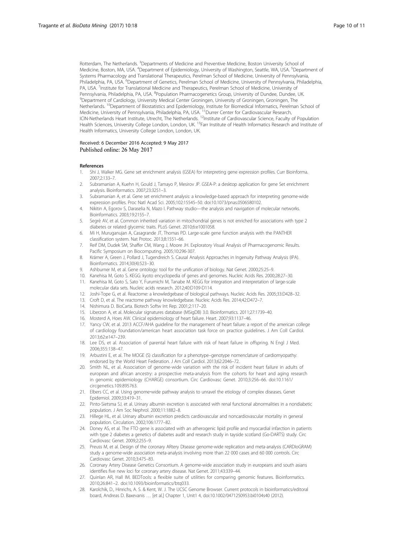<span id="page-9-0"></span>Rotterdam, The Netherlands. <sup>3</sup>Departments of Medicine and Preventive Medicine, Boston University School of Medicine, Boston, MA, USA. <sup>4</sup>Department of Epidemiology, University of Washington, Seattle, WA, USA. <sup>5</sup>Department of Systems Pharmacology and Translational Therapeutics, Perelman School of Medicine, University of Pennsylvania, Philadelphia, PA, USA. <sup>6</sup>Department of Genetics, Perelman School of Medicine, University of Pennsylvania, Philadelphia, PA, USA. <sup>7</sup>Institute for Translational Medicine and Therapeutics, Perelman School of Medicine, University of Pennsylvania, Philadelphia, PA, USA. <sup>8</sup>Population Pharmacogenetics Group, University of Dundee, Dundee, UK.<br><sup>9</sup>Department of Cardiology, University Medical Center Gropingen, University of Gropingen, Gropingen, The <sup>9</sup>Department of Cardiology, University Medical Center Groningen, University of Groningen, Groningen, The Netherlands. 10Department of Biostatistics and Epidemiology, Institute for Biomedical Informatics, Perelman School of Medicine, University of Pennsylvania, Philadelphia, PA, USA. <sup>11</sup>Durrer Center for Cardiovascular Research, ICIN-Netherlands Heart Institute, Utrecht, The Netherlands. <sup>12</sup>Institute of Cardiovascular Science, Faculty of Population Health Sciences, University College London, London, UK. 13Farr Institute of Health Informatics Research and Institute of Health Informatics, University College London, London, UK.

#### Received: 6 December 2016 Accepted: 9 May 2017 Published online: 26 May 2017

#### References

- 1. Shi J, Walker MG. Gene set enrichment analysis (GSEA) for interpreting gene expression profiles. Curr Bioinforma. 2007;2:133–7.
- 2. Subramanian A, Kuehn H, Gould J, Tamayo P, Mesirov JP. GSEA-P: a desktop application for gene Set enrichment analysis. Bioinformatics. 2007;23:3251–3.
- 3. Subramanian A, et al. Gene set enrichment analysis: a knowledge-based approach for interpreting genome-wide expression profiles. Proc Natl Acad Sci. 2005;102:15545–50. doi:[10.1073/pnas.0506580102.](http://dx.doi.org/10.1073/pnas.0506580102)
- 4. Nikitin A, Egorov S, Daraselia N, Mazo I. Pathway studio—the analysis and navigation of molecular networks. Bioinformatics. 2003;19:2155–7.
- 5. Segrè AV, et al. Common inherited variation in mitochondrial genes is not enriched for associations with type 2 diabetes or related glycemic traits. PLoS Genet. 2010;6:e1001058.
- 6. Mi H, Muruganujan A, Casagrande JT, Thomas PD. Large-scale gene function analysis with the PANTHER classification system. Nat Protoc. 2013;8:1551–66.
- 7. Reif DM, Dudek SM, Shaffer CM, Wang J, Moore JH. Exploratory Visual Analysis of Pharmacogenomic Results. Pacific Symposium on Biocomputing. 2005;10:296-307.
- 8. Krämer A, Green J, Pollard J, Tugendreich S. Causal Analysis Approaches in Ingenuity Pathway Analysis (IPA). Bioinformatics. 2014;30(4):523–30.
- 9. Ashburner M, et al. Gene ontology: tool for the unification of biology. Nat Genet. 2000;25:25–9.
- 10. Kanehisa M, Goto S. KEGG: kyoto encyclopedia of genes and genomes. Nucleic Acids Res. 2000;28:27–30.
- 11. Kanehisa M, Goto S, Sato Y, Furumichi M, Tanabe M. KEGG for integration and interpretation of large-scale molecular data sets. Nucleic acids research. 2012;40:D109-D114.
- 12. Joshi-Tope G, et al. Reactome: a knowledgebase of biological pathways. Nucleic Acids Res. 2005;33:D428–32.
- 13. Croft D, et al. The reactome pathway knowledgebase. Nucleic Acids Res. 2014;42:D472–7.
- 14. Nishimura D. BioCarta. Biotech Softw Int Rep. 2001;2:117–20.
- 15. Liberzon A, et al. Molecular signatures database (MSigDB) 3.0. Bioinformatics. 2011;27:1739–40.
- 16. Mosterd A, Hoes AW. Clinical epidemiology of heart failure. Heart. 2007;93:1137–46.
- 17. Yancy CW, et al. 2013 ACCF/AHA guideline for the management of heart failure: a report of the american college of cardiology foundation/american heart association task force on practice guidelines. J Am Coll Cardiol. 2013;62:e147–239.
- 18. Lee DS, et al. Association of parental heart failure with risk of heart failure in offspring. N Engl J Med. 2006;355:138–47.
- 19. Arbustini E, et al. The MOGE (S) classification for a phenotype–genotype nomenclature of cardiomyopathy: endorsed by the World Heart Federation. J Am Coll Cardiol. 2013;62:2046–72.
- 20. Smith NL, et al. Association of genome-wide variation with the risk of incident heart failure in adults of european and african ancestry: a prospective meta-analysis from the cohorts for heart and aging research in genomic epidemiology (CHARGE) consortium. Circ Cardiovasc Genet. 2010;3:256–66. doi[:10.1161/](http://dx.doi.org/10.1161/circgenetics.109.895763) [circgenetics.109.895763](http://dx.doi.org/10.1161/circgenetics.109.895763).
- 21. Elbers CC, et al. Using genome-wide pathway analysis to unravel the etiology of complex diseases. Genet Epidemiol. 2009;33:419–31.
- 22. Pinto-Sietsma SJ, et al. Urinary albumin excretion is associated with renal functional abnormalities in a nondiabetic population. J Am Soc Nephrol. 2000;11:1882–8.
- 23. Hillege HL, et al. Urinary albumin excretion predicts cardiovascular and noncardiovascular mortality in general population. Circulation. 2002;106:1777–82.
- 24. Doney AS, et al. The FTO gene is associated with an atherogenic lipid profile and myocardial infarction in patients with type 2 diabetes a genetics of diabetes audit and research study in tayside scotland (Go-DARTS) study. Circ Cardiovasc Genet. 2009;2:255–9.
- 25. Preuss M, et al. Design of the coronary ARtery DIsease genome-wide replication and meta-analysis (CARDIoGRAM) study a genome-wide association meta-analysis involving more than 22 000 cases and 60 000 controls. Circ Cardiovasc Genet. 2010;3:475–83.
- 26. Coronary Artery Disease Genetics Consortium. A genome-wide association study in europeans and south asians identifies five new loci for coronary artery disease. Nat Genet. 2011;43:339–44.
- 27. Quinlan AR, Hall IM. BEDTools: a flexible suite of utilities for comparing genomic features. Bioinformatics. 2010;26:841–2. doi:[10.1093/bioinformatics/btq033](http://dx.doi.org/10.1093/bioinformatics/btq033).
- 28. Karolchik, D., Hinrichs, A. S. & Kent, W. J. The UCSC Genome Browser. Current protocols in bioinformatics/editoral board, Andreas D. Baxevanis … [et al.] Chapter 1, Unit1 4, doi:[10.1002/0471250953.bi0104s40](http://dx.doi.org/10.1002/0471250953.bi0104s40) (2012).